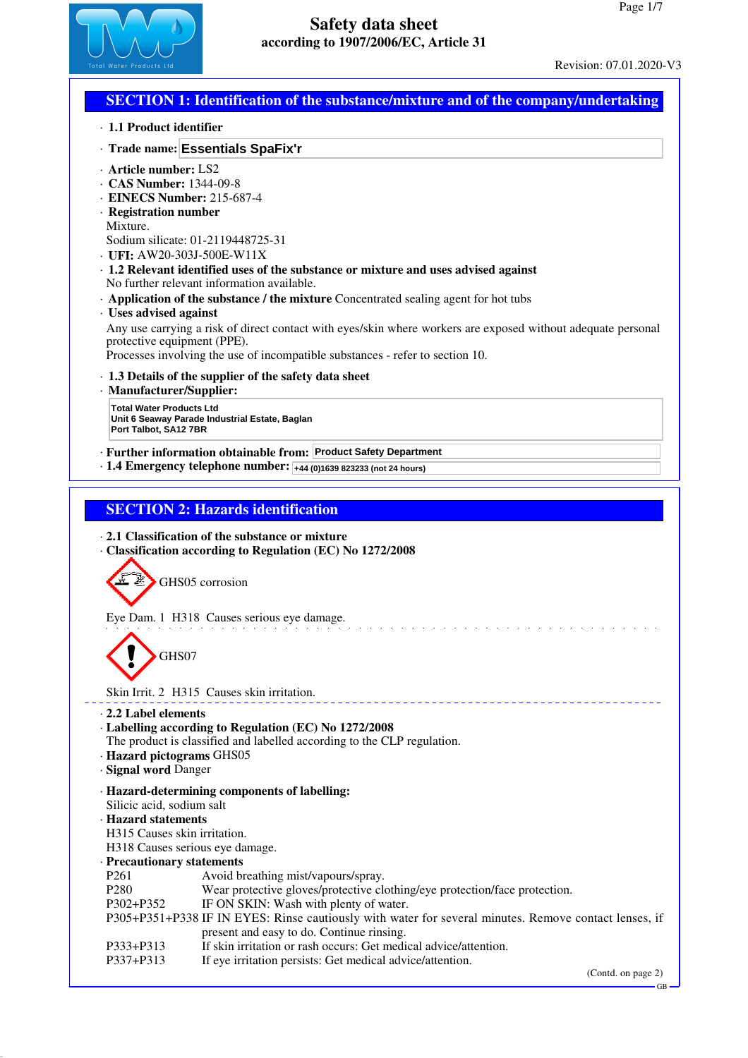

## **SECTION 1: Identification of the substance/mixture and of the company/undertaking**

· **1.1 Product identifier**

### · **Trade name: Essentials SpaFix'r**

- · **Article number:** LS2
- · **CAS Number:** 1344-09-8
- · **EINECS Number:** 215-687-4
- · **Registration number** Mixture.
- Sodium silicate: 01-2119448725-31
- · **UFI:** AW20-303J-500E-W11X
- · **1.2 Relevant identified uses of the substance or mixture and uses advised against** No further relevant information available.
- · **Application of the substance / the mixture** Concentrated sealing agent for hot tubs

#### · **Uses advised against**

Any use carrying a risk of direct contact with eyes/skin where workers are exposed without adequate personal protective equipment (PPE).

Processes involving the use of incompatible substances - refer to section 10.

### · **1.3 Details of the supplier of the safety data sheet**

· **Manufacturer/Supplier:**

**Total Water Products Ltd Unit 6 Seaway Parade Industrial Estate, Baglan Port Talbot, SA12 7BR**

· **Further information obtainable from: Product Safety Department**

· **1.4 Emergency telephone number: +44 (0)1639 823233 (not 24 hours)**

## **SECTION 2: Hazards identification**

- · **2.1 Classification of the substance or mixture**
- · **Classification according to Regulation (EC) No 1272/2008**

GHS05 corrosion

Eye Dam. 1 H318 Causes serious eye damage.

GHS07

### Skin Irrit. 2 H315 Causes skin irritation.

- · **2.2 Label elements**
- · **Labelling according to Regulation (EC) No 1272/2008**
- The product is classified and labelled according to the CLP regulation.
- · **Hazard pictograms** GHS05
- · **Signal word** Danger
- · **Hazard-determining components of labelling:**
- Silicic acid, sodium salt
- · **Hazard statements**
- H315 Causes skin irritation.
- H318 Causes serious eye damage.
- · **Precautionary statements**
- Avoid breathing mist/vapours/spray.
- P280 Wear protective gloves/protective clothing/eye protection/face protection.
- P302+P352 IF ON SKIN: Wash with plenty of water.
- P305+P351+P338 IF IN EYES: Rinse cautiously with water for several minutes. Remove contact lenses, if present and easy to do. Continue rinsing.
- P333+P313 If skin irritation or rash occurs: Get medical advice/attention.<br>P337+P313 If eve irritation persists: Get medical advice/attention.
	- If eye irritation persists: Get medical advice/attention.

(Contd. on page 2)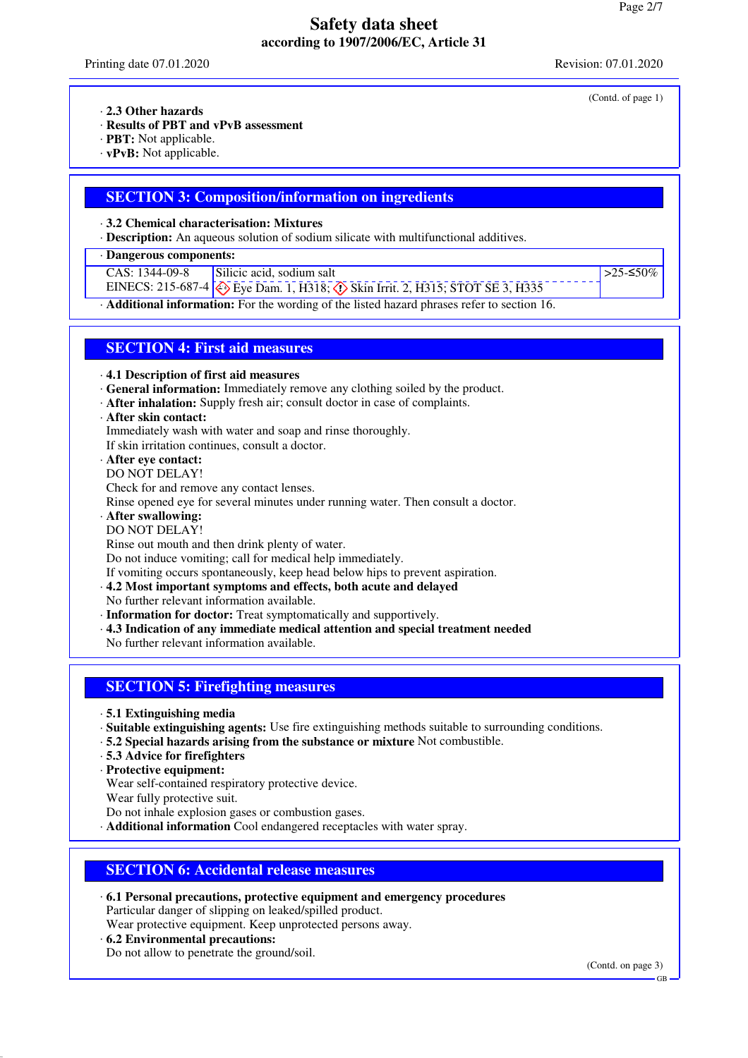Printing date 07.01.2020 Revision: 07.01.2020

(Contd. of page 1)

· **2.3 Other hazards**

· **Results of PBT and vPvB assessment**

· **PBT:** Not applicable.

· **vPvB:** Not applicable.

### **SECTION 3: Composition/information on ingredients**

· **3.2 Chemical characterisation: Mixtures**

· **Description:** An aqueous solution of sodium silicate with multifunctional additives.

· **Dangerous components:**

CAS: 1344-09-8 Silicic acid, sodium salt

EINECS: 215-687-4  $\leftrightarrow$  Eye Dam. 1, H318;  $\leftrightarrow$  Skin Irrit. 2, H315; STOT SE 3, H335

 $>25-≤50%$ 

· **Additional information:** For the wording of the listed hazard phrases refer to section 16.

## **SECTION 4: First aid measures**

· **4.1 Description of first aid measures**

- · **General information:** Immediately remove any clothing soiled by the product.
- · **After inhalation:** Supply fresh air; consult doctor in case of complaints.
- · **After skin contact:**

Immediately wash with water and soap and rinse thoroughly.

If skin irritation continues, consult a doctor.

· **After eye contact:**

DO NOT DELAY!

Check for and remove any contact lenses.

Rinse opened eye for several minutes under running water. Then consult a doctor.

- · **After swallowing:**
- DO NOT DELAY!

Rinse out mouth and then drink plenty of water.

Do not induce vomiting; call for medical help immediately.

If vomiting occurs spontaneously, keep head below hips to prevent aspiration.

· **4.2 Most important symptoms and effects, both acute and delayed**

No further relevant information available.

· **Information for doctor:** Treat symptomatically and supportively.

· **4.3 Indication of any immediate medical attention and special treatment needed**

No further relevant information available.

## **SECTION 5: Firefighting measures**

· **5.1 Extinguishing media**

- · **Suitable extinguishing agents:** Use fire extinguishing methods suitable to surrounding conditions.
- · **5.2 Special hazards arising from the substance or mixture** Not combustible.
- · **5.3 Advice for firefighters**

· **Protective equipment:**

Wear self-contained respiratory protective device.

Wear fully protective suit.

Do not inhale explosion gases or combustion gases.

· **Additional information** Cool endangered receptacles with water spray.

### **SECTION 6: Accidental release measures**

· **6.1 Personal precautions, protective equipment and emergency procedures** Particular danger of slipping on leaked/spilled product.

Wear protective equipment. Keep unprotected persons away.

· **6.2 Environmental precautions:** Do not allow to penetrate the ground/soil.

(Contd. on page 3)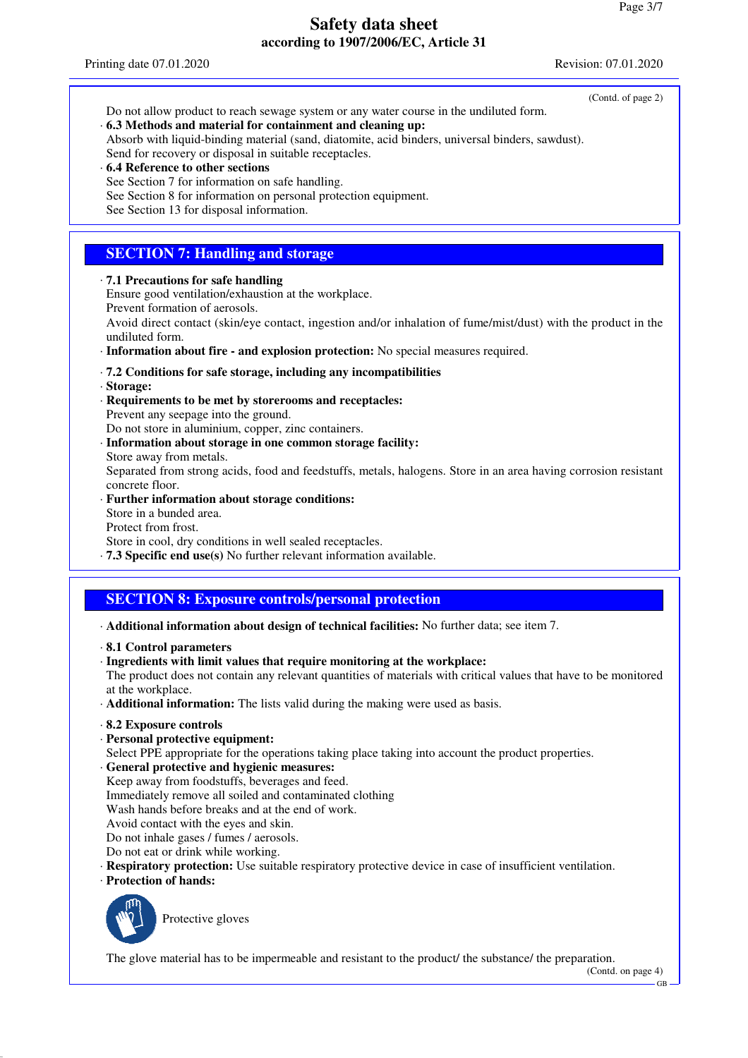- (Contd. of page 2) Do not allow product to reach sewage system or any water course in the undiluted form.
- · **6.3 Methods and material for containment and cleaning up:**

Absorb with liquid-binding material (sand, diatomite, acid binders, universal binders, sawdust). Send for recovery or disposal in suitable receptacles.

- · **6.4 Reference to other sections**
- See Section 7 for information on safe handling.
- See Section 8 for information on personal protection equipment.
- See Section 13 for disposal information.

## **SECTION 7: Handling and storage**

#### · **7.1 Precautions for safe handling**

Ensure good ventilation/exhaustion at the workplace.

Prevent formation of aerosols.

Avoid direct contact (skin/eye contact, ingestion and/or inhalation of fume/mist/dust) with the product in the undiluted form.

· **Information about fire - and explosion protection:** No special measures required.

### · **7.2 Conditions for safe storage, including any incompatibilities**

- · **Storage:**
- · **Requirements to be met by storerooms and receptacles:** Prevent any seepage into the ground.

Do not store in aluminium, copper, zinc containers.

- · **Information about storage in one common storage facility:**
- Store away from metals.

Separated from strong acids, food and feedstuffs, metals, halogens. Store in an area having corrosion resistant concrete floor.

- · **Further information about storage conditions:** Store in a bunded area. Protect from frost. Store in cool, dry conditions in well sealed receptacles.
- · **7.3 Specific end use(s)** No further relevant information available.

## **SECTION 8: Exposure controls/personal protection**

· **Additional information about design of technical facilities:** No further data; see item 7.

- · **8.1 Control parameters**
- · **Ingredients with limit values that require monitoring at the workplace:**

The product does not contain any relevant quantities of materials with critical values that have to be monitored at the workplace.

- · **Additional information:** The lists valid during the making were used as basis.
- · **8.2 Exposure controls**
- · **Personal protective equipment:**
- Select PPE appropriate for the operations taking place taking into account the product properties.
- · **General protective and hygienic measures:**
- Keep away from foodstuffs, beverages and feed.
- Immediately remove all soiled and contaminated clothing
- Wash hands before breaks and at the end of work.
- Avoid contact with the eyes and skin.
- Do not inhale gases / fumes / aerosols.
- Do not eat or drink while working.
- · **Respiratory protection:** Use suitable respiratory protective device in case of insufficient ventilation.
- · **Protection of hands:**



Protective gloves

The glove material has to be impermeable and resistant to the product/ the substance/ the preparation.

GB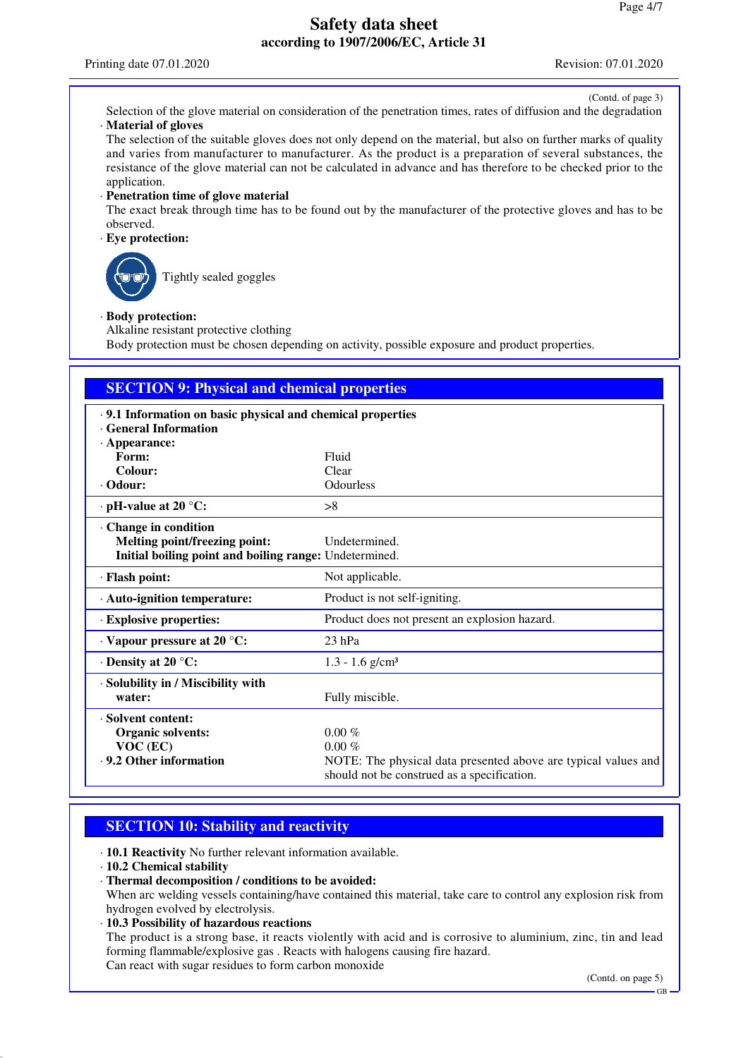(Contd. of page 3)

Selection of the glove material on consideration of the penetration times, rates of diffusion and the degradation · **Material of gloves**

The selection of the suitable gloves does not only depend on the material, but also on further marks of quality and varies from manufacturer to manufacturer. As the product is a preparation of several substances, the resistance of the glove material can not be calculated in advance and has therefore to be checked prior to the application.

#### · **Penetration time of glove material**

The exact break through time has to be found out by the manufacturer of the protective gloves and has to be observed.

### · **Eye protection:**

Tightly sealed goggles

#### · **Body protection:**

Alkaline resistant protective clothing

Body protection must be chosen depending on activity, possible exposure and product properties.

| <b>SECTION 9: Physical and chemical properties</b>     |                                                                |  |
|--------------------------------------------------------|----------------------------------------------------------------|--|
|                                                        |                                                                |  |
| <b>General Information</b>                             |                                                                |  |
| $\cdot$ Appearance:                                    |                                                                |  |
| Form:                                                  | Fluid                                                          |  |
| Colour:                                                | Clear                                                          |  |
| $\cdot$ Odour:                                         | <b>Odourless</b>                                               |  |
| $\cdot$ pH-value at 20 °C:                             | >8                                                             |  |
| Change in condition                                    |                                                                |  |
| Melting point/freezing point:                          | Undetermined.                                                  |  |
| Initial boiling point and boiling range: Undetermined. |                                                                |  |
| · Flash point:                                         | Not applicable.                                                |  |
| · Auto-ignition temperature:                           | Product is not self-igniting.                                  |  |
| · Explosive properties:                                | Product does not present an explosion hazard.                  |  |
| $\cdot$ Vapour pressure at 20 °C:                      | $23$ hPa                                                       |  |
| $\cdot$ Density at 20 °C:                              | $1.3 - 1.6$ g/cm <sup>3</sup>                                  |  |
| · Solubility in / Miscibility with                     |                                                                |  |
| water:                                                 | Fully miscible.                                                |  |
| · Solvent content:                                     |                                                                |  |
| <b>Organic solvents:</b>                               | $0.00\%$                                                       |  |
| $VOC$ (EC)                                             | $0.00\%$                                                       |  |
| . 9.2 Other information                                | NOTE: The physical data presented above are typical values and |  |

### **SECTION 10: Stability and reactivity**

· **10.1 Reactivity** No further relevant information available.

- · **10.2 Chemical stability**
- · **Thermal decomposition / conditions to be avoided:**

When arc welding vessels containing/have contained this material, take care to control any explosion risk from hydrogen evolved by electrolysis.

should not be construed as a specification.

· **10.3 Possibility of hazardous reactions** The product is a strong base, it reacts violently with acid and is corrosive to aluminium, zinc, tin and lead forming flammable/explosive gas . Reacts with halogens causing fire hazard. Can react with sugar residues to form carbon monoxide

(Contd. on page 5)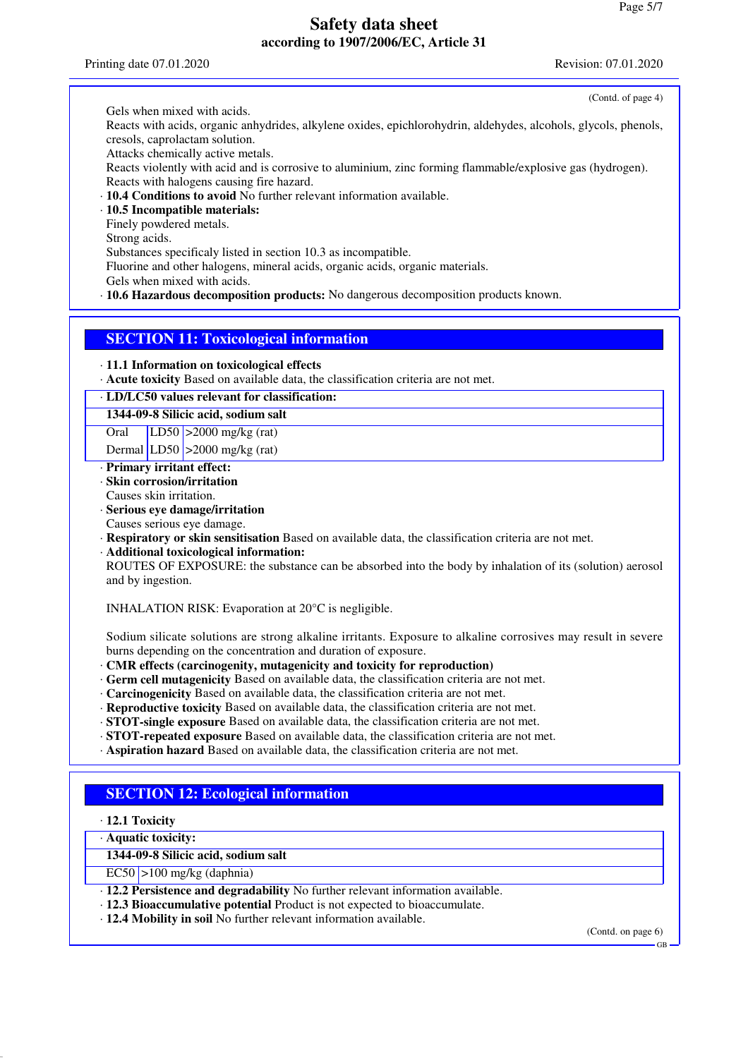Printing date 07.01.2020 Revision: 07.01.2020

(Contd. of page 4)

Gels when mixed with acids.

Reacts with acids, organic anhydrides, alkylene oxides, epichlorohydrin, aldehydes, alcohols, glycols, phenols, cresols, caprolactam solution.

Attacks chemically active metals.

Reacts violently with acid and is corrosive to aluminium, zinc forming flammable/explosive gas (hydrogen). Reacts with halogens causing fire hazard.

· **10.4 Conditions to avoid** No further relevant information available.

· **10.5 Incompatible materials:**

Finely powdered metals.

Strong acids.

Substances specificaly listed in section 10.3 as incompatible.

Fluorine and other halogens, mineral acids, organic acids, organic materials.

Gels when mixed with acids.

· **10.6 Hazardous decomposition products:** No dangerous decomposition products known.

### **SECTION 11: Toxicological information**

· **11.1 Information on toxicological effects**

· **Acute toxicity** Based on available data, the classification criteria are not met.

· **LD/LC50 values relevant for classification:**

#### **1344-09-8 Silicic acid, sodium salt**

Oral LD50 >2000 mg/kg (rat)

Dermal  $LD50$  >2000 mg/kg (rat)

- · **Primary irritant effect:**
- · **Skin corrosion/irritation**
- Causes skin irritation.
- · **Serious eye damage/irritation**
- Causes serious eye damage.

· **Respiratory or skin sensitisation** Based on available data, the classification criteria are not met.

· **Additional toxicological information:**

ROUTES OF EXPOSURE: the substance can be absorbed into the body by inhalation of its (solution) aerosol and by ingestion.

INHALATION RISK: Evaporation at 20°C is negligible.

Sodium silicate solutions are strong alkaline irritants. Exposure to alkaline corrosives may result in severe burns depending on the concentration and duration of exposure.

· **CMR effects (carcinogenity, mutagenicity and toxicity for reproduction)**

- · **Germ cell mutagenicity** Based on available data, the classification criteria are not met.
- · **Carcinogenicity** Based on available data, the classification criteria are not met.
- · **Reproductive toxicity** Based on available data, the classification criteria are not met.
- · **STOT-single exposure** Based on available data, the classification criteria are not met.
- · **STOT-repeated exposure** Based on available data, the classification criteria are not met.
- · **Aspiration hazard** Based on available data, the classification criteria are not met.

## **SECTION 12: Ecological information**

- · **12.1 Toxicity**
- · **Aquatic toxicity:**

**1344-09-8 Silicic acid, sodium salt**

 $EC50$  >100 mg/kg (daphnia)

- · **12.2 Persistence and degradability** No further relevant information available.
- · **12.3 Bioaccumulative potential** Product is not expected to bioaccumulate.
- · **12.4 Mobility in soil** No further relevant information available.

(Contd. on page 6)

GB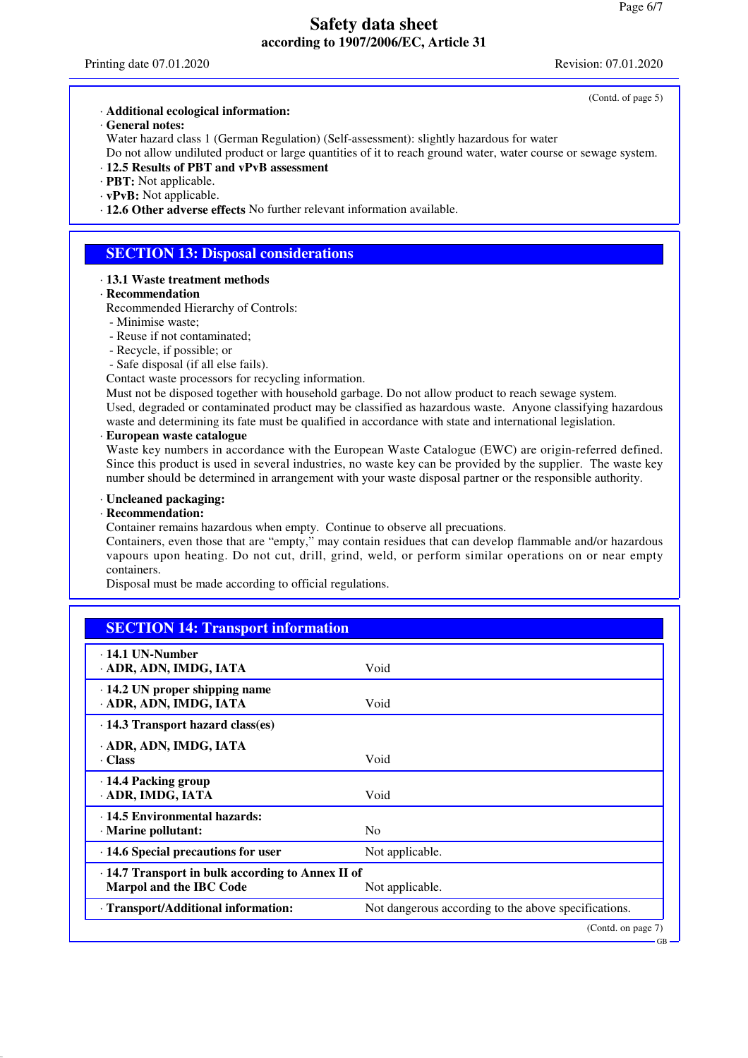(Contd. of page 5)

GB

#### · **Additional ecological information:**

· **General notes:**

Water hazard class 1 (German Regulation) (Self-assessment): slightly hazardous for water Do not allow undiluted product or large quantities of it to reach ground water, water course or sewage system.

- · **12.5 Results of PBT and vPvB assessment**
- · **PBT:** Not applicable.
- · **vPvB:** Not applicable.

· **12.6 Other adverse effects** No further relevant information available.

### **SECTION 13: Disposal considerations**

### · **13.1 Waste treatment methods**

- · **Recommendation**
- Recommended Hierarchy of Controls:
- Minimise waste;
- Reuse if not contaminated;
- Recycle, if possible; or
- Safe disposal (if all else fails).

Contact waste processors for recycling information.

Must not be disposed together with household garbage. Do not allow product to reach sewage system. Used, degraded or contaminated product may be classified as hazardous waste. Anyone classifying hazardous waste and determining its fate must be qualified in accordance with state and international legislation.

#### · **European waste catalogue**

Waste key numbers in accordance with the European Waste Catalogue (EWC) are origin-referred defined. Since this product is used in several industries, no waste key can be provided by the supplier. The waste key number should be determined in arrangement with your waste disposal partner or the responsible authority.

#### · **Uncleaned packaging:**

#### · **Recommendation:**

Container remains hazardous when empty. Continue to observe all precuations.

Containers, even those that are "empty," may contain residues that can develop flammable and/or hazardous vapours upon heating. Do not cut, drill, grind, weld, or perform similar operations on or near empty containers.

Disposal must be made according to official regulations.

| <b>SECTION 14: Transport information</b>                                                  |                                                      |
|-------------------------------------------------------------------------------------------|------------------------------------------------------|
| $\cdot$ 14.1 UN-Number<br>· ADR, ADN, IMDG, IATA                                          | Void                                                 |
| $\cdot$ 14.2 UN proper shipping name<br>· ADR, ADN, IMDG, IATA                            | Void                                                 |
| $\cdot$ 14.3 Transport hazard class(es)                                                   |                                                      |
| · ADR, ADN, IMDG, IATA<br>· Class                                                         | Void                                                 |
| ⋅ 14.4 Packing group<br>· ADR, IMDG, IATA                                                 | Void                                                 |
| · 14.5 Environmental hazards:<br>· Marine pollutant:                                      | N <sub>0</sub>                                       |
| $\cdot$ 14.6 Special precautions for user                                                 | Not applicable.                                      |
| $\cdot$ 14.7 Transport in bulk according to Annex II of<br><b>Marpol and the IBC Code</b> | Not applicable.                                      |
| · Transport/Additional information:                                                       | Not dangerous according to the above specifications. |
|                                                                                           | (Contd. on page 7)                                   |